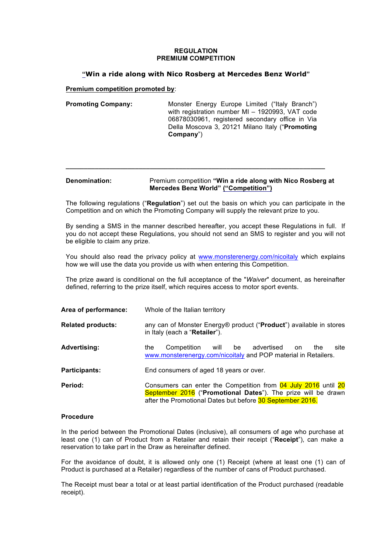## **REGULATION PREMIUM COMPETITION**

# **"Win a ride along with Nico Rosberg at Mercedes Benz World"**

**Premium competition promoted by**:

**Promoting Company:** Monster Energy Europe Limited ("Italy Branch") with registration number MI – 1920993, VAT code 06878030961, registered secondary office in Via Della Moscova 3, 20121 Milano Italy ("**Promoting Company**")

## **Denomination:** Premium competition **"Win a ride along with Nico Rosberg at Mercedes Benz World" ("Competition")**

**\_\_\_\_\_\_\_\_\_\_\_\_\_\_\_\_\_\_\_\_\_\_\_\_\_\_\_\_\_\_\_\_\_\_\_\_\_\_\_\_\_\_\_\_\_\_\_\_\_\_\_\_\_\_\_\_\_\_\_\_\_\_\_\_\_\_\_\_\_\_\_**

The following regulations ("**Regulation**") set out the basis on which you can participate in the Competition and on which the Promoting Company will supply the relevant prize to you.

By sending a SMS in the manner described hereafter, you accept these Regulations in full. If you do not accept these Regulations, you should not send an SMS to register and you will not be eligible to claim any prize.

You should also read the privacy policy at www.monsterenergy.com/nicoitaly which explains how we will use the data you provide us with when entering this Competition.

The prize award is conditional on the full acceptance of the "*Waiver*" document, as hereinafter defined, referring to the prize itself, which requires access to motor sport events.

| Area of performance:     | Whole of the Italian territory                                                                                                                                                               |
|--------------------------|----------------------------------------------------------------------------------------------------------------------------------------------------------------------------------------------|
| <b>Related products:</b> | any can of Monster Energy® product ("Product") available in stores<br>in Italy (each a " <b>Retailer</b> ").                                                                                 |
| <b>Advertising:</b>      | Competition<br>advertised<br>will<br>be<br>site<br>the.<br>the<br>on.<br>www.monsterenergy.com/nicoitaly and POP material in Retailers.                                                      |
| <b>Participants:</b>     | End consumers of aged 18 years or over.                                                                                                                                                      |
| Period:                  | Consumers can enter the Competition from 04 July 2016 until 20<br>September 2016 ("Promotional Dates"). The prize will be drawn<br>after the Promotional Dates but before 30 September 2016. |

## **Procedure**

In the period between the Promotional Dates (inclusive), all consumers of age who purchase at least one (1) can of Product from a Retailer and retain their receipt ("**Receipt**"), can make a reservation to take part in the Draw as hereinafter defined.

For the avoidance of doubt, it is allowed only one (1) Receipt (where at least one (1) can of Product is purchased at a Retailer) regardless of the number of cans of Product purchased.

The Receipt must bear a total or at least partial identification of the Product purchased (readable receipt).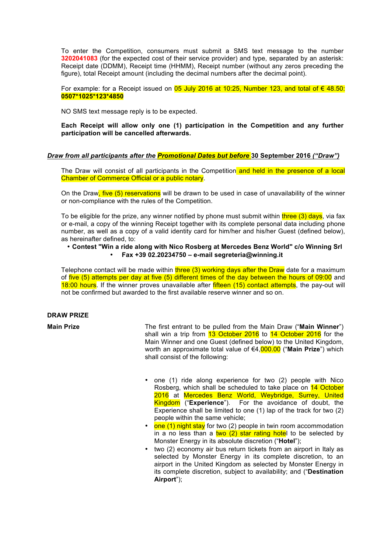To enter the Competition, consumers must submit a SMS text message to the number **3202041083** (for the expected cost of their service provider) and type, separated by an asterisk: Receipt date (DDMM), Receipt time (HHMM), Receipt number (without any zeros preceding the figure), total Receipt amount (including the decimal numbers after the decimal point).

For example: for a Receipt issued on 05 July 2016 at 10:25, Number 123, and total of € 48.50: **0507\*1025\*123\*4850**

NO SMS text message reply is to be expected.

**Each Receipt will allow only one (1) participation in the Competition and any further participation will be cancelled afterwards.** 

#### *Draw from all participants after the Promotional Dates but before* **30 September 2016** *("Draw")*

The Draw will consist of all participants in the Competition and held in the presence of a local Chamber of Commerce Official or a public notary.

On the Draw, five (5) reservations will be drawn to be used in case of unavailability of the winner or non-compliance with the rules of the Competition.

To be eligible for the prize, any winner notified by phone must submit within three  $(3)$  days, via fax or e-mail, a copy of the winning Receipt together with its complete personal data including phone number, as well as a copy of a valid identity card for him/her and his/her Guest (defined below), as hereinafter defined, to:

## • **Contest "Win a ride along with Nico Rosberg at Mercedes Benz World" c/o Winning Srl**  • **Fax +39 02.20234750 – e-mail segreteria@winning.it**

Telephone contact will be made within three  $(3)$  working days after the Draw date for a maximum of five (5) attempts per day at five (5) different times of the day between the hours of 09:00 and 18:00 hours. If the winner proves unavailable after fifteen (15) contact attempts, the pay-out will not be confirmed but awarded to the first available reserve winner and so on.

#### **DRAW PRIZE**

**Main Prize** The first entrant to be pulled from the Main Draw ("**Main Winner**") shall win a trip from 13 October 2016 to 14 October 2016 for the Main Winner and one Guest (defined below) to the United Kingdom, worth an approximate total value of €4,000.00 ("**Main Prize**") which shall consist of the following:

- one (1) ride along experience for two (2) people with Nico Rosberg, which shall be scheduled to take place on 14 October 2016 at Mercedes Benz World, Weybridge, Surrey, United Kingdom ("**Experience**"). For the avoidance of doubt, the Experience shall be limited to one (1) lap of the track for two (2) people within the same vehicle;
- one (1) night stay for two (2) people in twin room accommodation in a no less than a two  $(2)$  star rating hotel to be selected by Monster Energy in its absolute discretion ("**Hotel**");
- two (2) economy air bus return tickets from an airport in Italy as selected by Monster Energy in its complete discretion, to an airport in the United Kingdom as selected by Monster Energy in its complete discretion, subject to availability; and ("**Destination Airport**");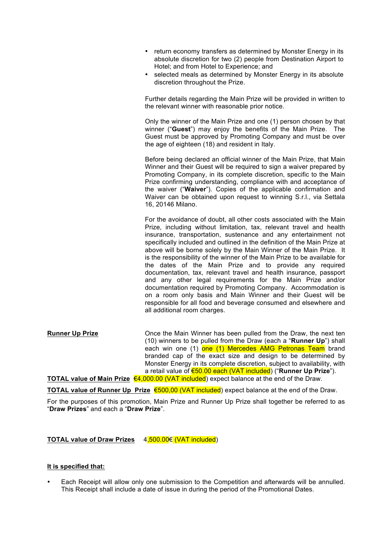- return economy transfers as determined by Monster Energy in its absolute discretion for two (2) people from Destination Airport to Hotel; and from Hotel to Experience; and
- selected meals as determined by Monster Energy in its absolute discretion throughout the Prize.

Further details regarding the Main Prize will be provided in written to the relevant winner with reasonable prior notice.

Only the winner of the Main Prize and one (1) person chosen by that winner ("**Guest**") may enjoy the benefits of the Main Prize. The Guest must be approved by Promoting Company and must be over the age of eighteen (18) and resident in Italy.

Before being declared an official winner of the Main Prize, that Main Winner and their Guest will be required to sign a waiver prepared by Promoting Company, in its complete discretion, specific to the Main Prize confirming understanding, compliance with and acceptance of the waiver ("**Waiver**"). Copies of the applicable confirmation and Waiver can be obtained upon request to winning S.r.l., via Settala 16, 20146 Milano.

For the avoidance of doubt, all other costs associated with the Main Prize, including without limitation, tax, relevant travel and health insurance, transportation, sustenance and any entertainment not specifically included and outlined in the definition of the Main Prize at above will be borne solely by the Main Winner of the Main Prize. It is the responsibility of the winner of the Main Prize to be available for the dates of the Main Prize and to provide any required documentation, tax, relevant travel and health insurance, passport and any other legal requirements for the Main Prize and/or documentation required by Promoting Company. Accommodation is on a room only basis and Main Winner and their Guest will be responsible for all food and beverage consumed and elsewhere and all additional room charges.

**Runner Up Prize Conce the Main Winner has been pulled from the Draw, the next ten** (10) winners to be pulled from the Draw (each a "**Runner Up**") shall each win one (1) one (1) Mercedes AMG Petronas Team brand branded cap of the exact size and design to be determined by Monster Energy in its complete discretion, subject to availability, with a retail value of €50.00 each (VAT included) ("**Runner Up Prize**"). **TOTAL value of Main Prize** €4,000.00 (VAT included) expect balance at the end of the Draw.

**TOTAL value of Runner Up Prize** €500,00 (VAT included) expect balance at the end of the Draw.

For the purposes of this promotion, Main Prize and Runner Up Prize shall together be referred to as "**Draw Prizes**" and each a "**Draw Prize**".

**TOTAL value of Draw Prizes** 4,500.00€ (VAT included)

#### **It is specified that:**

• Each Receipt will allow only one submission to the Competition and afterwards will be annulled. This Receipt shall include a date of issue in during the period of the Promotional Dates.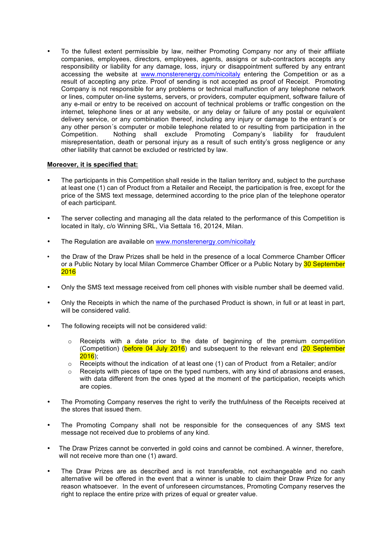• To the fullest extent permissible by law, neither Promoting Company nor any of their affiliate companies, employees, directors, employees, agents, assigns or sub-contractors accepts any responsibility or liability for any damage, loss, injury or disappointment suffered by any entrant accessing the website at www.monsterenergy.com/nicoitaly entering the Competition or as a result of accepting any prize. Proof of sending is not accepted as proof of Receipt. Promoting Company is not responsible for any problems or technical malfunction of any telephone network or lines, computer on-line systems, servers, or providers, computer equipment, software failure of any e-mail or entry to be received on account of technical problems or traffic congestion on the internet, telephone lines or at any website, or any delay or failure of any postal or equivalent delivery service, or any combination thereof, including any injury or damage to the entrant´s or any other person´s computer or mobile telephone related to or resulting from participation in the Competition. Nothing shall exclude Promoting Company's liability for fraudulent misrepresentation, death or personal injury as a result of such entity's gross negligence or any other liability that cannot be excluded or restricted by law.

## **Moreover, it is specified that:**

- The participants in this Competition shall reside in the Italian territory and, subject to the purchase at least one (1) can of Product from a Retailer and Receipt, the participation is free, except for the price of the SMS text message, determined according to the price plan of the telephone operator of each participant.
- The server collecting and managing all the data related to the performance of this Competition is located in Italy, c/o Winning SRL, Via Settala 16, 20124, Milan.
- The Regulation are available on www.monsterenergy.com/nicoitaly
- the Draw of the Draw Prizes shall be held in the presence of a local Commerce Chamber Officer or a Public Notary by local Milan Commerce Chamber Officer or a Public Notary by 30 September 2016
- Only the SMS text message received from cell phones with visible number shall be deemed valid.
- Only the Receipts in which the name of the purchased Product is shown, in full or at least in part, will be considered valid.
- The following receipts will not be considered valid:
	- $\circ$  Receipts with a date prior to the date of beginning of the premium competition (Competition) (before 04 July 2016) and subsequent to the relevant end (20 September  $2016$ );
	- o Receipts without the indication of at least one (1) can of Product from a Retailer; and/or
	- $\circ$  Receipts with pieces of tape on the typed numbers, with any kind of abrasions and erases, with data different from the ones typed at the moment of the participation, receipts which are copies.
- The Promoting Company reserves the right to verify the truthfulness of the Receipts received at the stores that issued them.
- The Promoting Company shall not be responsible for the consequences of any SMS text message not received due to problems of any kind.
- The Draw Prizes cannot be converted in gold coins and cannot be combined. A winner, therefore, will not receive more than one (1) award.
- The Draw Prizes are as described and is not transferable, not exchangeable and no cash alternative will be offered in the event that a winner is unable to claim their Draw Prize for any reason whatsoever. In the event of unforeseen circumstances, Promoting Company reserves the right to replace the entire prize with prizes of equal or greater value.